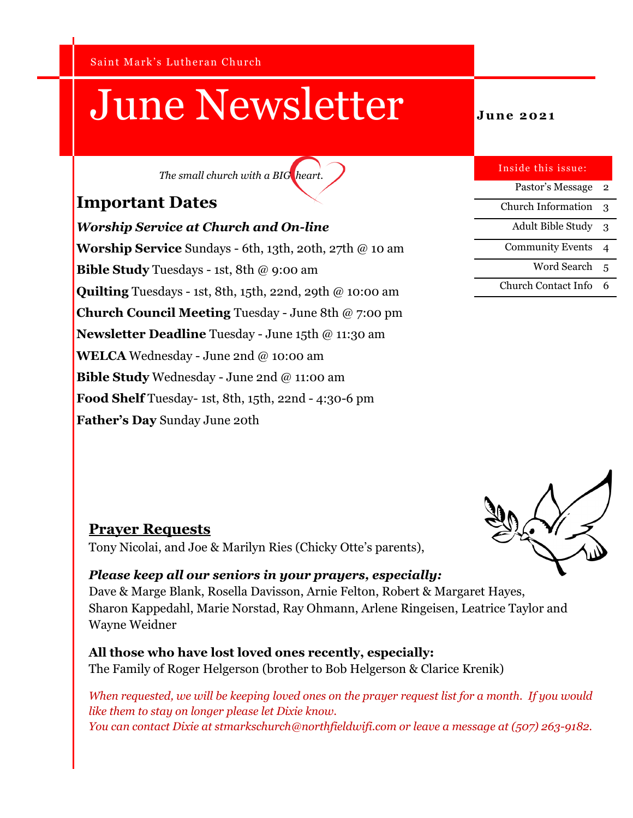Saint Mark's Lutheran Church

# June Newsletter **June 2021**

*The small church with a BIG heart.*

#### **Important Dates**

*Worship Service at Church and On-line* **Worship Service** Sundays - 6th, 13th, 20th, 27th @ 10 am **Bible Study** Tuesdays - 1st, 8th @ 9:00 am **Quilting** Tuesdays - 1st, 8th, 15th, 22nd, 29th @ 10:00 am **Church Council Meeting** Tuesday - June 8th @ 7:00 pm **Newsletter Deadline** Tuesday - June 15th @ 11:30 am **WELCA** Wednesday - June 2nd @ 10:00 am **Bible Study** Wednesday - June 2nd @ 11:00 am **Food Shelf** Tuesday- 1st, 8th, 15th, 22nd - 4:30-6 pm **Father's Day** Sunday June 20th

| Inside this issue:         |   |
|----------------------------|---|
| Pastor's Message           | 2 |
| <b>Church Information</b>  | 3 |
| <b>Adult Bible Study</b>   | 3 |
| <b>Community Events</b>    | 4 |
| Word Search                | 5 |
| <b>Church Contact Info</b> |   |



#### **Prayer Requests**

Tony Nicolai, and Joe & Marilyn Ries (Chicky Otte's parents),

#### *Please keep all our seniors in your prayers, especially:*

Dave & Marge Blank, Rosella Davisson, Arnie Felton, Robert & Margaret Hayes, Sharon Kappedahl, Marie Norstad, Ray Ohmann, Arlene Ringeisen, Leatrice Taylor and Wayne Weidner

#### **All those who have lost loved ones recently, especially:**

The Family of Roger Helgerson (brother to Bob Helgerson & Clarice Krenik)

*When requested, we will be keeping loved ones on the prayer request list for a month. If you would like them to stay on longer please let Dixie know. You can contact Dixie at stmarkschurch@northfieldwifi.com or leave a message at (507) 263-9182.*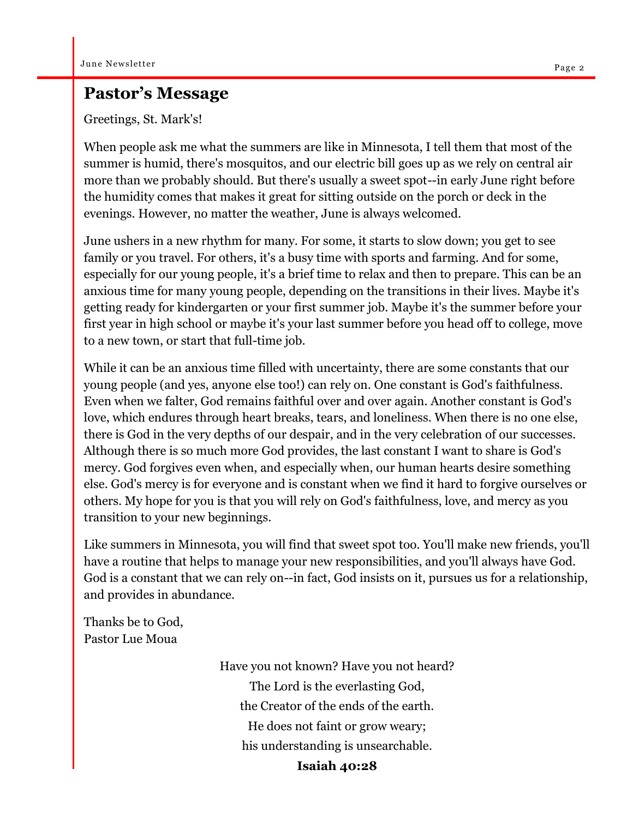#### **Pastor's Message**

Greetings, St. Mark's!

When people ask me what the summers are like in Minnesota, I tell them that most of the summer is humid, there's mosquitos, and our electric bill goes up as we rely on central air more than we probably should. But there's usually a sweet spot--in early June right before the humidity comes that makes it great for sitting outside on the porch or deck in the evenings. However, no matter the weather, June is always welcomed.

June ushers in a new rhythm for many. For some, it starts to slow down; you get to see family or you travel. For others, it's a busy time with sports and farming. And for some, especially for our young people, it's a brief time to relax and then to prepare. This can be an anxious time for many young people, depending on the transitions in their lives. Maybe it's getting ready for kindergarten or your first summer job. Maybe it's the summer before your first year in high school or maybe it's your last summer before you head off to college, move to a new town, or start that full-time job.

While it can be an anxious time filled with uncertainty, there are some constants that our young people (and yes, anyone else too!) can rely on. One constant is God's faithfulness. Even when we falter, God remains faithful over and over again. Another constant is God's love, which endures through heart breaks, tears, and loneliness. When there is no one else, there is God in the very depths of our despair, and in the very celebration of our successes. Although there is so much more God provides, the last constant I want to share is God's mercy. God forgives even when, and especially when, our human hearts desire something else. God's mercy is for everyone and is constant when we find it hard to forgive ourselves or others. My hope for you is that you will rely on God's faithfulness, love, and mercy as you transition to your new beginnings.

Like summers in Minnesota, you will find that sweet spot too. You'll make new friends, you'll have a routine that helps to manage your new responsibilities, and you'll always have God. God is a constant that we can rely on--in fact, God insists on it, pursues us for a relationship, and provides in abundance.

Thanks be to God, Pastor Lue Moua

> Have you not known? Have you not heard? The Lord is the everlasting God, the Creator of the ends of the earth. He does not faint or grow weary; his understanding is unsearchable. **Isaiah 40:28**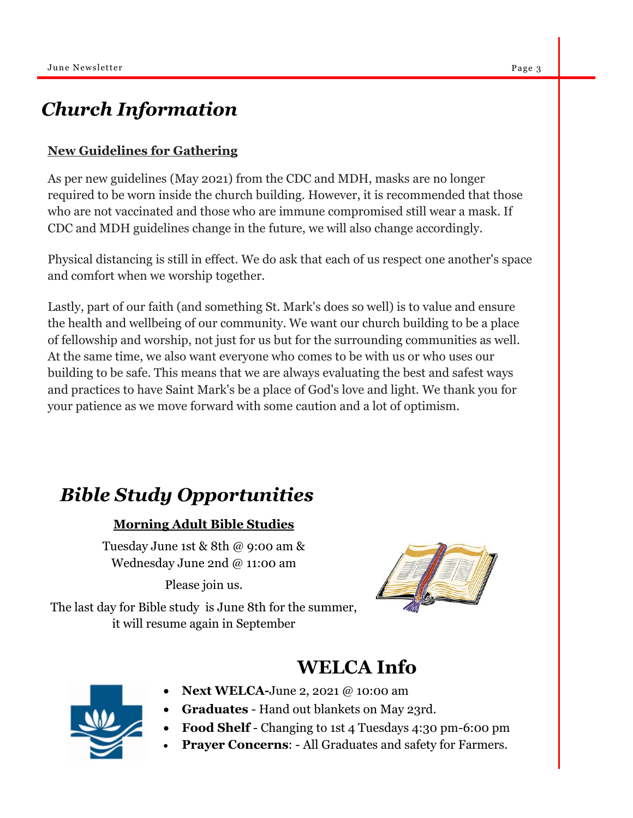### *Church Information*

#### **New Guidelines for Gathering**

As per new guidelines (May 2021) from the CDC and MDH, masks are no longer required to be worn inside the church building. However, it is recommended that those who are not vaccinated and those who are immune compromised still wear a mask. If CDC and MDH guidelines change in the future, we will also change accordingly.

Physical distancing is still in effect. We do ask that each of us respect one another's space and comfort when we worship together.

Lastly, part of our faith (and something St. Mark's does so well) is to value and ensure the health and wellbeing of our community. We want our church building to be a place of fellowship and worship, not just for us but for the surrounding communities as well. At the same time, we also want everyone who comes to be with us or who uses our building to be safe. This means that we are always evaluating the best and safest ways and practices to have Saint Mark's be a place of God's love and light. We thank you for your patience as we move forward with some caution and a lot of optimism.

### *Bible Study Opportunities*

#### **Morning Adult Bible Studies**

Tuesday June 1st & 8th @ 9:00 am & Wednesday June 2nd @ 11:00 am

Please join us.

The last day for Bible study is June 8th for the summer, it will resume again in September



### **WELCA Info**



- **Next WELCA-**June 2, 2021 @ 10:00 am
- **Graduates**  Hand out blankets on May 23rd.
	- **Food Shelf** Changing to 1st 4 Tuesdays 4:30 pm-6:00 pm
	- **Prayer Concerns**: All Graduates and safety for Farmers.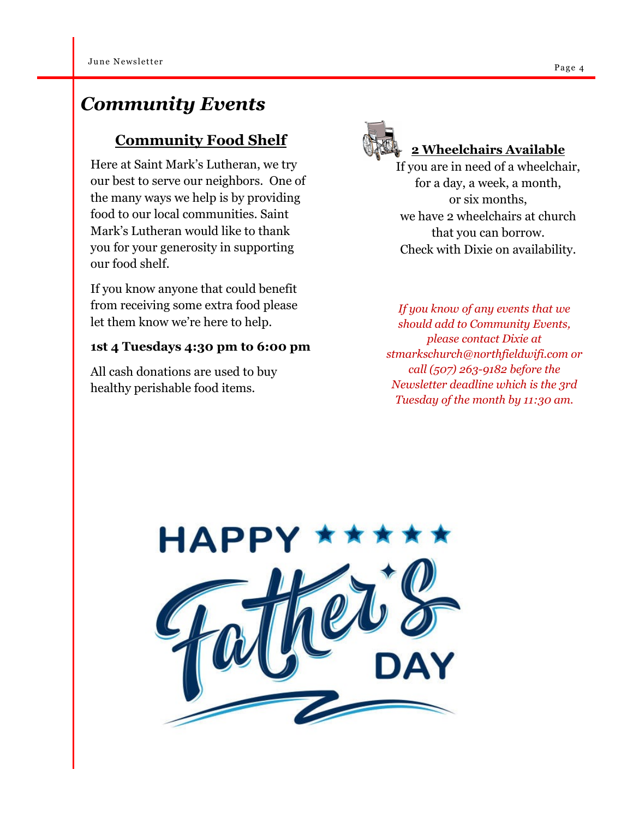### *Community Events*

#### **Community Food Shelf**

Here at Saint Mark's Lutheran, we try our best to serve our neighbors. One of the many ways we help is by providing food to our local communities. Saint Mark's Lutheran would like to thank you for your generosity in supporting our food shelf.

If you know anyone that could benefit from receiving some extra food please let them know we're here to help.

#### **1st 4 Tuesdays 4:30 pm to 6:00 pm**

All cash donations are used to buy healthy perishable food items.



#### **2 Wheelchairs Available**

If you are in need of a wheelchair, for a day, a week, a month, or six months, we have 2 wheelchairs at church that you can borrow. Check with Dixie on availability.

*If you know of any events that we should add to Community Events, please contact Dixie at stmarkschurch@northfieldwifi.com or call (507) 263-9182 before the Newsletter deadline which is the 3rd Tuesday of the month by 11:30 am.*

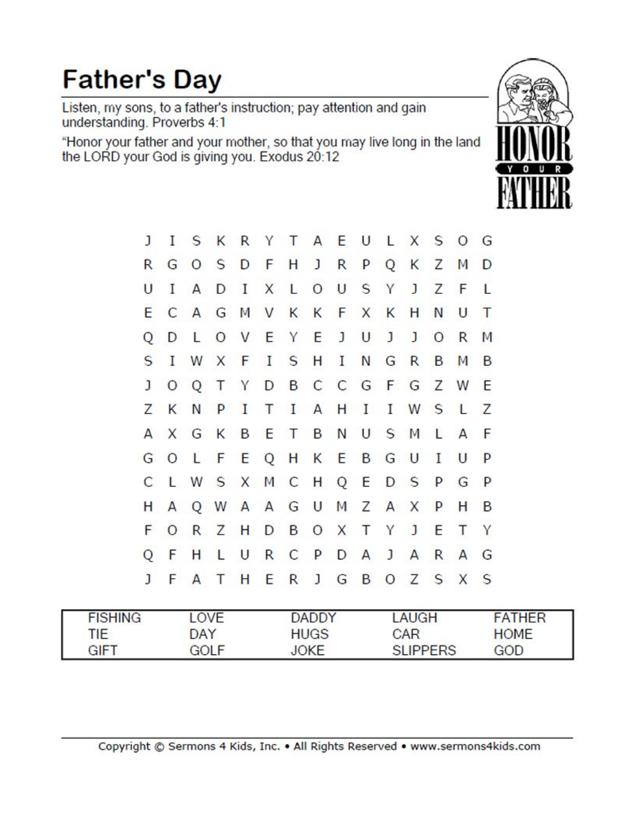## **Father's Day**

Listen, my sons, to a father's instruction; pay attention and gain<br>understanding. Proverbs 4:1

"Honor your father and your mother, so that you may live long in the land<br>the LORD your God is giving you. Exodus 20:12



| ı            | I  |          |                   |  |  |  |                             | S K R Y T A E U L X S O G     |              |
|--------------|----|----------|-------------------|--|--|--|-----------------------------|-------------------------------|--------------|
| R            |    |          |                   |  |  |  | G O S D F H J R P Q K Z     | M D                           |              |
| U            | I  |          | ADIXL             |  |  |  | O U S Y J Z F               |                               | L            |
| E.           |    | CAGMVKKF |                   |  |  |  | X K H N                     | $\cup$                        | Т            |
| Q            | D  |          | L O V E Y E J U J |  |  |  | $\mathbf{J}$                | O <sub>R</sub>                | M            |
| S            |    |          |                   |  |  |  | I W X F I S H I N G R B     | M B                           |              |
| $\mathbf{J}$ |    |          |                   |  |  |  |                             | O Q T Y D B C C G F G Z W E   |              |
|              |    |          |                   |  |  |  |                             | Z K N P I T I A H I I W S L Z |              |
|              |    |          |                   |  |  |  |                             | A X G K B E T B N U S M L A F |              |
|              |    |          |                   |  |  |  | G O L F E Q H K E B G U I U |                               | P            |
|              |    |          |                   |  |  |  | C L W S X M C H Q E D S P G |                               | <b>P</b>     |
| н            |    |          |                   |  |  |  | A Q W A A G U M Z A X P     | Н                             | B            |
| F            |    |          |                   |  |  |  | O R Z H D B O X T Y J E     | Т                             | Y            |
| Q            | F. |          |                   |  |  |  | H L U R C P D A J A R       | $\mathsf{A}$                  | G            |
| J            |    |          |                   |  |  |  | F A T H E R J G B O Z S X   |                               | <sub>S</sub> |

| <b>FISHING</b> | <b>OVE</b> | <b>DADDY</b> | AUGH            | <b>FATHER</b> |
|----------------|------------|--------------|-----------------|---------------|
| TIE.           | DAY        | <b>HUGS</b>  | CAR             | <b>HOME</b>   |
| <b>GIFT</b>    | GOLF       | <b>JOKE</b>  | <b>SLIPPERS</b> | GOD           |